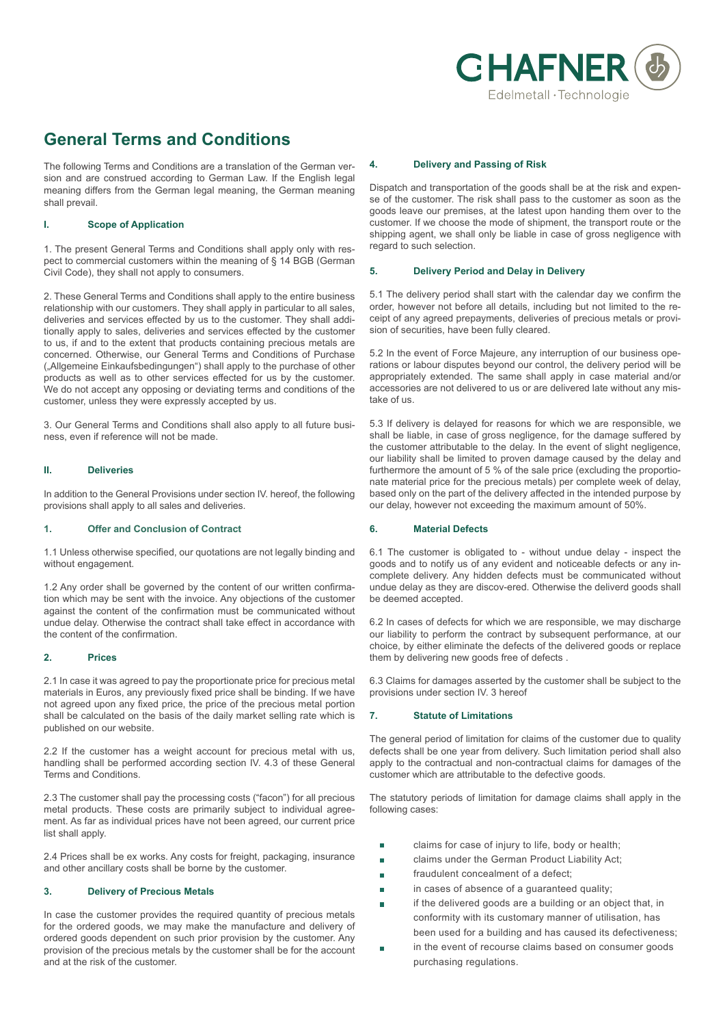

# **General Terms and Conditions**

The following Terms and Conditions are a translation of the German version and are construed according to German Law. If the English legal meaning differs from the German legal meaning, the German meaning shall prevail.

# **I. Scope of Application**

1. The present General Terms and Conditions shall apply only with respect to commercial customers within the meaning of § 14 BGB (German Civil Code), they shall not apply to consumers.

2. These General Terms and Conditions shall apply to the entire business relationship with our customers. They shall apply in particular to all sales, deliveries and services effected by us to the customer. They shall additionally apply to sales, deliveries and services effected by the customer to us, if and to the extent that products containing precious metals are concerned. Otherwise, our General Terms and Conditions of Purchase ("Allgemeine Einkaufsbedingungen") shall apply to the purchase of other products as well as to other services effected for us by the customer. We do not accept any opposing or deviating terms and conditions of the customer, unless they were expressly accepted by us.

3. Our General Terms and Conditions shall also apply to all future business, even if reference will not be made.

## **II. Deliveries**

In addition to the General Provisions under section IV. hereof, the following provisions shall apply to all sales and deliveries.

# **1. Offer and Conclusion of Contract**

1.1 Unless otherwise specified, our quotations are not legally binding and without engagement.

1.2 Any order shall be governed by the content of our written confirmation which may be sent with the invoice. Any objections of the customer against the content of the confirmation must be communicated without undue delay. Otherwise the contract shall take effect in accordance with the content of the confirmation.

# **2. Prices**

2.1 In case it was agreed to pay the proportionate price for precious metal materials in Euros, any previously fixed price shall be binding. If we have not agreed upon any fixed price, the price of the precious metal portion shall be calculated on the basis of the daily market selling rate which is published on our website.

2.2 If the customer has a weight account for precious metal with us, handling shall be performed according section IV. 4.3 of these General Terms and Conditions.

2.3 The customer shall pay the processing costs ("facon") for all precious metal products. These costs are primarily subject to individual agreement. As far as individual prices have not been agreed, our current price list shall apply.

2.4 Prices shall be ex works. Any costs for freight, packaging, insurance and other ancillary costs shall be borne by the customer.

## **3. Delivery of Precious Metals**

In case the customer provides the required quantity of precious metals for the ordered goods, we may make the manufacture and delivery of ordered goods dependent on such prior provision by the customer. Any provision of the precious metals by the customer shall be for the account and at the risk of the customer.

## **4. Delivery and Passing of Risk**

Dispatch and transportation of the goods shall be at the risk and expense of the customer. The risk shall pass to the customer as soon as the goods leave our premises, at the latest upon handing them over to the customer. If we choose the mode of shipment, the transport route or the shipping agent, we shall only be liable in case of gross negligence with regard to such selection.

## **5. Delivery Period and Delay in Delivery**

5.1 The delivery period shall start with the calendar day we confirm the order, however not before all details, including but not limited to the receipt of any agreed prepayments, deliveries of precious metals or provision of securities, have been fully cleared.

5.2 In the event of Force Majeure, any interruption of our business operations or labour disputes beyond our control, the delivery period will be appropriately extended. The same shall apply in case material and/or accessories are not delivered to us or are delivered late without any mistake of us.

5.3 If delivery is delayed for reasons for which we are responsible, we shall be liable, in case of gross negligence, for the damage suffered by the customer attributable to the delay. In the event of slight negligence, our liability shall be limited to proven damage caused by the delay and furthermore the amount of 5 % of the sale price (excluding the proportionate material price for the precious metals) per complete week of delay, based only on the part of the delivery affected in the intended purpose by our delay, however not exceeding the maximum amount of 50%.

# **6. Material Defects**

6.1 The customer is obligated to - without undue delay - inspect the goods and to notify us of any evident and noticeable defects or any incomplete delivery. Any hidden defects must be communicated without undue delay as they are discov-ered. Otherwise the deliverd goods shall be deemed accepted.

6.2 In cases of defects for which we are responsible, we may discharge our liability to perform the contract by subsequent performance, at our choice, by either eliminate the defects of the delivered goods or replace them by delivering new goods free of defects .

6.3 Claims for damages asserted by the customer shall be subject to the provisions under section IV. 3 hereof

# **7. Statute of Limitations**

The general period of limitation for claims of the customer due to quality defects shall be one year from delivery. Such limitation period shall also apply to the contractual and non-contractual claims for damages of the customer which are attributable to the defective goods.

The statutory periods of limitation for damage claims shall apply in the following cases:

- claims for case of injury to life, body or health; П
- claims under the German Product Liability Act;  $\overline{\mathbb{R}}$
- fraudulent concealment of a defect;
- in cases of absence of a quaranteed quality:
- if the delivered goods are a building or an object that, in  $\overline{\phantom{a}}$ conformity with its customary manner of utilisation, has been used for a building and has caused its defectiveness;
- in the event of recourse claims based on consumer goods purchasing regulations.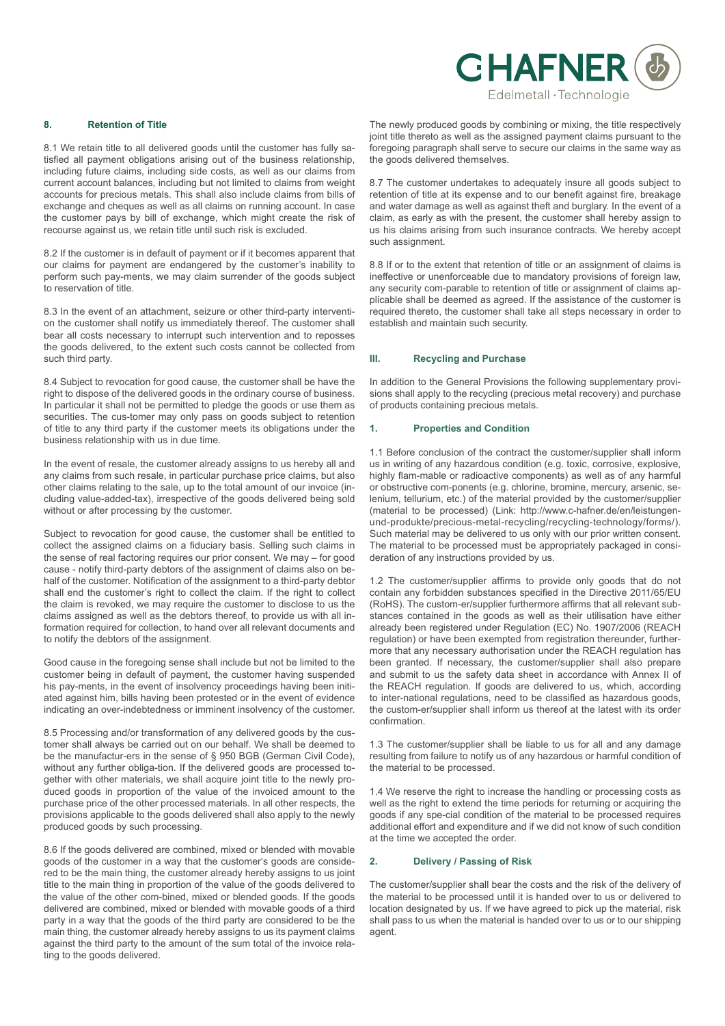

## **8. Retention of Title**

8.1 We retain title to all delivered goods until the customer has fully satisfied all payment obligations arising out of the business relationship, including future claims, including side costs, as well as our claims from current account balances, including but not limited to claims from weight accounts for precious metals. This shall also include claims from bills of exchange and cheques as well as all claims on running account. In case the customer pays by bill of exchange, which might create the risk of recourse against us, we retain title until such risk is excluded.

8.2 If the customer is in default of payment or if it becomes apparent that our claims for payment are endangered by the customer's inability to perform such pay-ments, we may claim surrender of the goods subject to reservation of title.

8.3 In the event of an attachment, seizure or other third-party intervention the customer shall notify us immediately thereof. The customer shall bear all costs necessary to interrupt such intervention and to reposses the goods delivered, to the extent such costs cannot be collected from such third party.

8.4 Subject to revocation for good cause, the customer shall be have the right to dispose of the delivered goods in the ordinary course of business. In particular it shall not be permitted to pledge the goods or use them as securities. The cus-tomer may only pass on goods subject to retention of title to any third party if the customer meets its obligations under the business relationship with us in due time.

In the event of resale, the customer already assigns to us hereby all and any claims from such resale, in particular purchase price claims, but also other claims relating to the sale, up to the total amount of our invoice (including value-added-tax), irrespective of the goods delivered being sold without or after processing by the customer.

Subject to revocation for good cause, the customer shall be entitled to collect the assigned claims on a fiduciary basis. Selling such claims in the sense of real factoring requires our prior consent. We may – for good cause - notify third-party debtors of the assignment of claims also on behalf of the customer. Notification of the assignment to a third-party debtor shall end the customer's right to collect the claim. If the right to collect the claim is revoked, we may require the customer to disclose to us the claims assigned as well as the debtors thereof, to provide us with all information required for collection, to hand over all relevant documents and to notify the debtors of the assignment.

Good cause in the foregoing sense shall include but not be limited to the customer being in default of payment, the customer having suspended his pay-ments, in the event of insolvency proceedings having been initiated against him, bills having been protested or in the event of evidence indicating an over-indebtedness or imminent insolvency of the customer.

8.5 Processing and/or transformation of any delivered goods by the customer shall always be carried out on our behalf. We shall be deemed to be the manufactur-ers in the sense of § 950 BGB (German Civil Code), without any further obliga-tion. If the delivered goods are processed together with other materials, we shall acquire joint title to the newly produced goods in proportion of the value of the invoiced amount to the purchase price of the other processed materials. In all other respects, the provisions applicable to the goods delivered shall also apply to the newly produced goods by such processing.

8.6 If the goods delivered are combined, mixed or blended with movable goods of the customer in a way that the customer's goods are considered to be the main thing, the customer already hereby assigns to us joint title to the main thing in proportion of the value of the goods delivered to the value of the other com-bined, mixed or blended goods. If the goods delivered are combined, mixed or blended with movable goods of a third party in a way that the goods of the third party are considered to be the main thing, the customer already hereby assigns to us its payment claims against the third party to the amount of the sum total of the invoice relating to the goods delivered.

The newly produced goods by combining or mixing, the title respectively joint title thereto as well as the assigned payment claims pursuant to the foregoing paragraph shall serve to secure our claims in the same way as the goods delivered themselves.

8.7 The customer undertakes to adequately insure all goods subject to retention of title at its expense and to our benefit against fire, breakage and water damage as well as against theft and burglary. In the event of a claim, as early as with the present, the customer shall hereby assign to us his claims arising from such insurance contracts. We hereby accept such assignment.

8.8 If or to the extent that retention of title or an assignment of claims is ineffective or unenforceable due to mandatory provisions of foreign law, any security com-parable to retention of title or assignment of claims applicable shall be deemed as agreed. If the assistance of the customer is required thereto, the customer shall take all steps necessary in order to establish and maintain such security.

#### **III. Recycling and Purchase**

In addition to the General Provisions the following supplementary provisions shall apply to the recycling (precious metal recovery) and purchase of products containing precious metals.

## **1. Properties and Condition**

1.1 Before conclusion of the contract the customer/supplier shall inform us in writing of any hazardous condition (e.g. toxic, corrosive, explosive, highly flam-mable or radioactive components) as well as of any harmful or obstructive com-ponents (e.g. chlorine, bromine, mercury, arsenic, selenium, tellurium, etc.) of the material provided by the customer/supplier (material to be processed) (Link: http://www.c-hafner.de/en/leistungenund-produkte/precious-metal-recycling/recycling-technology/forms/). Such material may be delivered to us only with our prior written consent. The material to be processed must be appropriately packaged in consideration of any instructions provided by us.

1.2 The customer/supplier affirms to provide only goods that do not contain any forbidden substances specified in the Directive 2011/65/EU (RoHS). The custom-er/supplier furthermore affirms that all relevant substances contained in the goods as well as their utilisation have either already been registered under Regulation (EC) No. 1907/2006 (REACH regulation) or have been exempted from registration thereunder, furthermore that any necessary authorisation under the REACH regulation has been granted. If necessary, the customer/supplier shall also prepare and submit to us the safety data sheet in accordance with Annex II of the REACH regulation. If goods are delivered to us, which, according to inter-national regulations, need to be classified as hazardous goods, the custom-er/supplier shall inform us thereof at the latest with its order confirmation.

1.3 The customer/supplier shall be liable to us for all and any damage resulting from failure to notify us of any hazardous or harmful condition of the material to be processed.

1.4 We reserve the right to increase the handling or processing costs as well as the right to extend the time periods for returning or acquiring the goods if any spe-cial condition of the material to be processed requires additional effort and expenditure and if we did not know of such condition at the time we accepted the order.

# **2. Delivery / Passing of Risk**

The customer/supplier shall bear the costs and the risk of the delivery of the material to be processed until it is handed over to us or delivered to location designated by us. If we have agreed to pick up the material, risk shall pass to us when the material is handed over to us or to our shipping agent.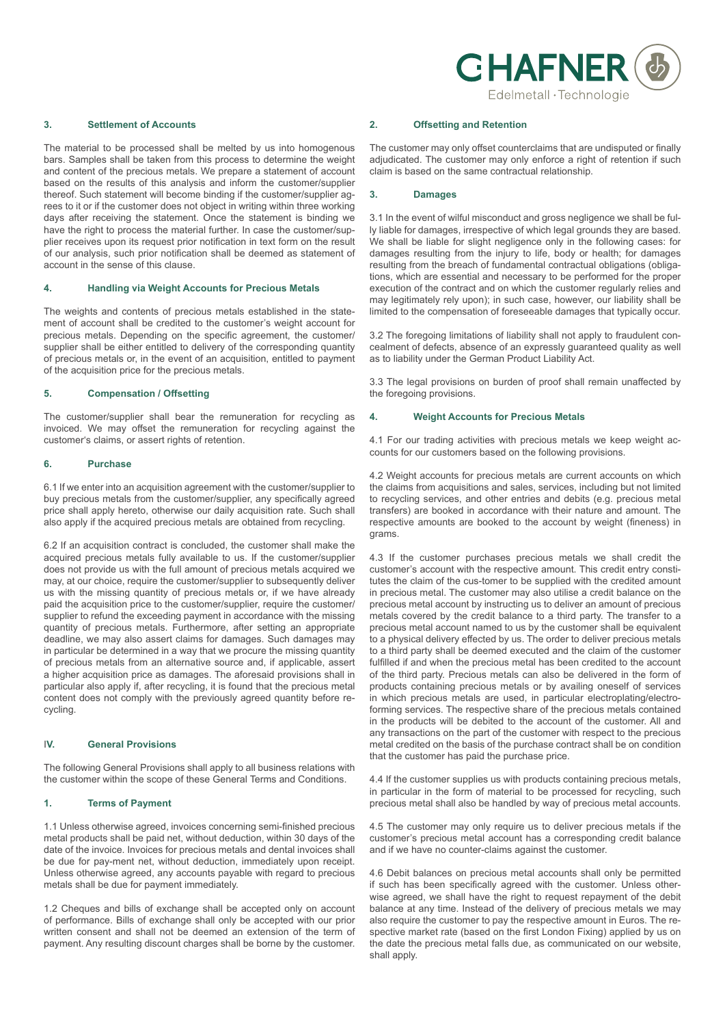

#### **3. Settlement of Accounts**

The material to be processed shall be melted by us into homogenous bars. Samples shall be taken from this process to determine the weight and content of the precious metals. We prepare a statement of account based on the results of this analysis and inform the customer/supplier thereof. Such statement will become binding if the customer/supplier agrees to it or if the customer does not object in writing within three working days after receiving the statement. Once the statement is binding we have the right to process the material further. In case the customer/supplier receives upon its request prior notification in text form on the result of our analysis, such prior notification shall be deemed as statement of account in the sense of this clause.

## **4. Handling via Weight Accounts for Precious Metals**

The weights and contents of precious metals established in the statement of account shall be credited to the customer's weight account for precious metals. Depending on the specific agreement, the customer/ supplier shall be either entitled to delivery of the corresponding quantity of precious metals or, in the event of an acquisition, entitled to payment of the acquisition price for the precious metals.

## **5. Compensation / Offsetting**

The customer/supplier shall bear the remuneration for recycling as invoiced. We may offset the remuneration for recycling against the customer's claims, or assert rights of retention.

#### **6. Purchase**

6.1 If we enter into an acquisition agreement with the customer/supplier to buy precious metals from the customer/supplier, any specifically agreed price shall apply hereto, otherwise our daily acquisition rate. Such shall also apply if the acquired precious metals are obtained from recycling.

6.2 If an acquisition contract is concluded, the customer shall make the acquired precious metals fully available to us. If the customer/supplier does not provide us with the full amount of precious metals acquired we may, at our choice, require the customer/supplier to subsequently deliver us with the missing quantity of precious metals or, if we have already paid the acquisition price to the customer/supplier, require the customer/ supplier to refund the exceeding payment in accordance with the missing quantity of precious metals. Furthermore, after setting an appropriate deadline, we may also assert claims for damages. Such damages may in particular be determined in a way that we procure the missing quantity of precious metals from an alternative source and, if applicable, assert a higher acquisition price as damages. The aforesaid provisions shall in particular also apply if, after recycling, it is found that the precious metal content does not comply with the previously agreed quantity before recycling.

#### I**V. General Provisions**

The following General Provisions shall apply to all business relations with the customer within the scope of these General Terms and Conditions.

## **1. Terms of Payment**

1.1 Unless otherwise agreed, invoices concerning semi-finished precious metal products shall be paid net, without deduction, within 30 days of the date of the invoice. Invoices for precious metals and dental invoices shall be due for pay-ment net, without deduction, immediately upon receipt. Unless otherwise agreed, any accounts payable with regard to precious metals shall be due for payment immediately.

1.2 Cheques and bills of exchange shall be accepted only on account of performance. Bills of exchange shall only be accepted with our prior written consent and shall not be deemed an extension of the term of payment. Any resulting discount charges shall be borne by the customer.

#### **2. Offsetting and Retention**

The customer may only offset counterclaims that are undisputed or finally adjudicated. The customer may only enforce a right of retention if such claim is based on the same contractual relationship.

#### **3. Damages**

3.1 In the event of wilful misconduct and gross negligence we shall be fully liable for damages, irrespective of which legal grounds they are based. We shall be liable for slight negligence only in the following cases: for damages resulting from the injury to life, body or health; for damages resulting from the breach of fundamental contractual obligations (obligations, which are essential and necessary to be performed for the proper execution of the contract and on which the customer regularly relies and may legitimately rely upon); in such case, however, our liability shall be limited to the compensation of foreseeable damages that typically occur.

3.2 The foregoing limitations of liability shall not apply to fraudulent concealment of defects, absence of an expressly guaranteed quality as well as to liability under the German Product Liability Act.

3.3 The legal provisions on burden of proof shall remain unaffected by the foregoing provisions.

#### **4. Weight Accounts for Precious Metals**

4.1 For our trading activities with precious metals we keep weight accounts for our customers based on the following provisions.

4.2 Weight accounts for precious metals are current accounts on which the claims from acquisitions and sales, services, including but not limited to recycling services, and other entries and debits (e.g. precious metal transfers) are booked in accordance with their nature and amount. The respective amounts are booked to the account by weight (fineness) in grams.

4.3 If the customer purchases precious metals we shall credit the customer's account with the respective amount. This credit entry constitutes the claim of the cus-tomer to be supplied with the credited amount in precious metal. The customer may also utilise a credit balance on the precious metal account by instructing us to deliver an amount of precious metals covered by the credit balance to a third party. The transfer to a precious metal account named to us by the customer shall be equivalent to a physical delivery effected by us. The order to deliver precious metals to a third party shall be deemed executed and the claim of the customer fulfilled if and when the precious metal has been credited to the account of the third party. Precious metals can also be delivered in the form of products containing precious metals or by availing oneself of services in which precious metals are used, in particular electroplating/electroforming services. The respective share of the precious metals contained in the products will be debited to the account of the customer. All and any transactions on the part of the customer with respect to the precious metal credited on the basis of the purchase contract shall be on condition that the customer has paid the purchase price.

4.4 If the customer supplies us with products containing precious metals, in particular in the form of material to be processed for recycling, such precious metal shall also be handled by way of precious metal accounts.

4.5 The customer may only require us to deliver precious metals if the customer's precious metal account has a corresponding credit balance and if we have no counter-claims against the customer.

4.6 Debit balances on precious metal accounts shall only be permitted if such has been specifically agreed with the customer. Unless otherwise agreed, we shall have the right to request repayment of the debit balance at any time. Instead of the delivery of precious metals we may also require the customer to pay the respective amount in Euros. The respective market rate (based on the first London Fixing) applied by us on the date the precious metal falls due, as communicated on our website, shall apply.